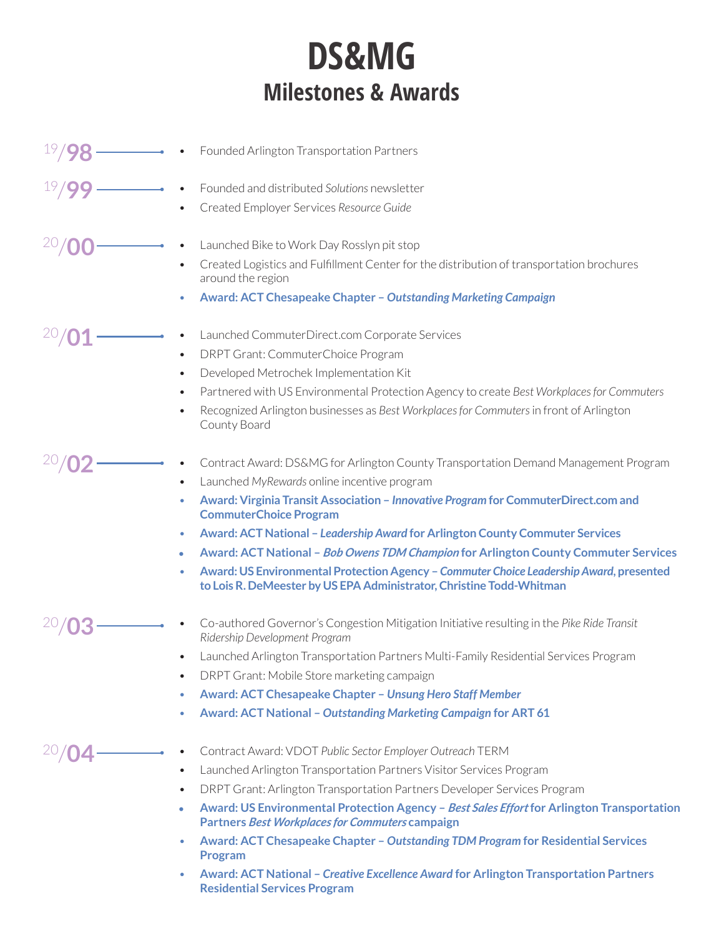## **DS&MG Milestones & Awards**

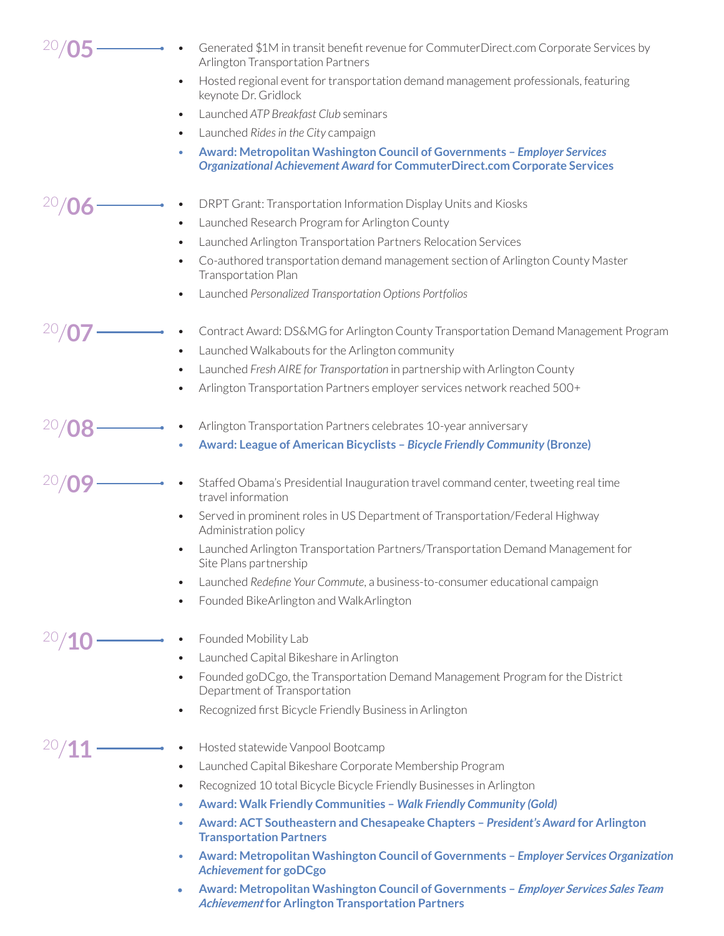|  | Generated \$1M in transit benefit revenue for CommuterDirect.com Corporate Services by<br>Arlington Transportation Partners                                         |
|--|---------------------------------------------------------------------------------------------------------------------------------------------------------------------|
|  | Hosted regional event for transportation demand management professionals, featuring<br>$\bullet$<br>keynote Dr. Gridlock                                            |
|  | Launched ATP Breakfast Club seminars<br>$\bullet$                                                                                                                   |
|  | Launched Rides in the City campaign<br>$\bullet$                                                                                                                    |
|  | Award: Metropolitan Washington Council of Governments - Employer Services<br>۰<br><b>Organizational Achievement Award for CommuterDirect.com Corporate Services</b> |
|  | DRPT Grant: Transportation Information Display Units and Kiosks                                                                                                     |
|  | Launched Research Program for Arlington County<br>$\bullet$                                                                                                         |
|  | Launched Arlington Transportation Partners Relocation Services<br>$\bullet$                                                                                         |
|  | Co-authored transportation demand management section of Arlington County Master<br>$\bullet$<br><b>Transportation Plan</b>                                          |
|  | Launched Personalized Transportation Options Portfolios<br>٠                                                                                                        |
|  | Contract Award: DS&MG for Arlington County Transportation Demand Management Program                                                                                 |
|  | Launched Walkabouts for the Arlington community<br>$\bullet$                                                                                                        |
|  | Launched Fresh AIRE for Transportation in partnership with Arlington County<br>$\bullet$                                                                            |
|  | Arlington Transportation Partners employer services network reached 500+<br>$\bullet$                                                                               |
|  | Arlington Transportation Partners celebrates 10-year anniversary                                                                                                    |
|  | Award: League of American Bicyclists - Bicycle Friendly Community (Bronze)<br>$\bullet$                                                                             |
|  | Staffed Obama's Presidential Inauguration travel command center, tweeting real time<br>travel information                                                           |
|  | Served in prominent roles in US Department of Transportation/Federal Highway<br>$\bullet$<br>Administration policy                                                  |
|  | Launched Arlington Transportation Partners/Transportation Demand Management for<br>$\bullet$<br>Site Plans partnership                                              |
|  | Launched Redefine Your Commute, a business-to-consumer educational campaign<br>$\bullet$                                                                            |
|  | Founded BikeArlington and WalkArlington<br>$\bullet$                                                                                                                |
|  | Founded Mobility Lab                                                                                                                                                |
|  | Launched Capital Bikeshare in Arlington<br>$\bullet$                                                                                                                |
|  | Founded goDCgo, the Transportation Demand Management Program for the District<br>$\bullet$<br>Department of Transportation                                          |
|  | Recognized first Bicycle Friendly Business in Arlington<br>$\bullet$                                                                                                |
|  | Hosted statewide Vanpool Bootcamp                                                                                                                                   |
|  | Launched Capital Bikeshare Corporate Membership Program<br>٠                                                                                                        |
|  | Recognized 10 total Bicycle Bicycle Friendly Businesses in Arlington<br>٠                                                                                           |
|  | <b>Award: Walk Friendly Communities - Walk Friendly Community (Gold)</b><br>۰                                                                                       |
|  | Award: ACT Southeastern and Chesapeake Chapters - President's Award for Arlington<br>٠<br><b>Transportation Partners</b>                                            |
|  | Award: Metropolitan Washington Council of Governments - Employer Services Organization<br>۰<br><b>Achievement for goDCgo</b>                                        |
|  | Award: Metropolitan Washington Council of Governments - Employer Services Sales Team<br>۰<br><b>Achievement for Arlington Transportation Partners</b>               |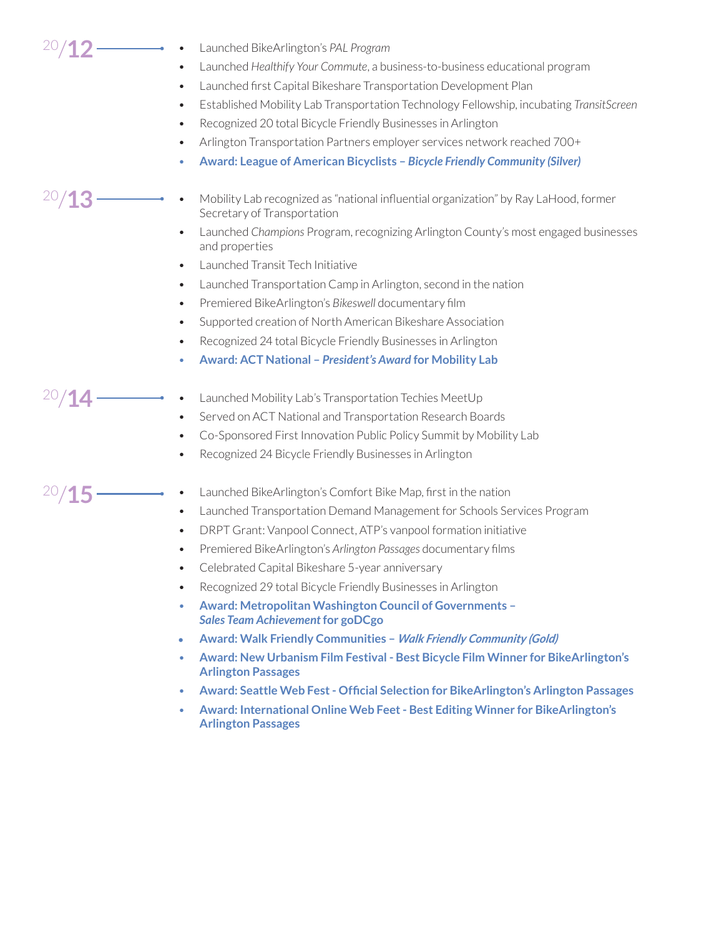20/**12**

20/**13**

20/**14**

20/**15**

- Launched BikeArlington's *PAL Program*
- Launched *Healthify Your Commute*, a business-to-business educational program
- Launched first Capital Bikeshare Transportation Development Plan
- Established Mobility Lab Transportation Technology Fellowship, incubating *TransitScreen*
- Recognized 20 total Bicycle Friendly Businesses in Arlington
- Arlington Transportation Partners employer services network reached 700+
- **Award: League of American Bicyclists** *Bicycle Friendly Community (Silver)*
- Mobility Lab recognized as "national influential organization" by Ray LaHood, former Secretary of Transportation
	- Launched *Champions* Program, recognizing Arlington County's most engaged businesses and properties
	- Launched Transit Tech Initiative
	- Launched Transportation Camp in Arlington, second in the nation
	- Premiered BikeArlington's *Bikeswell* documentary film
	- Supported creation of North American Bikeshare Association
	- Recognized 24 total Bicycle Friendly Businesses in Arlington
	- **Award: ACT National** *President's Award* **for Mobility Lab**
	- Launched Mobility Lab's Transportation Techies MeetUp
	- Served on ACT National and Transportation Research Boards
	- Co-Sponsored First Innovation Public Policy Summit by Mobility Lab
	- Recognized 24 Bicycle Friendly Businesses in Arlington

## Launched BikeArlington's Comfort Bike Map, first in the nation

- Launched Transportation Demand Management for Schools Services Program
- DRPT Grant: Vanpool Connect, ATP's vanpool formation initiative
- Premiered BikeArlington's *Arlington Passages* documentary films
- Celebrated Capital Bikeshare 5-year anniversary
- Recognized 29 total Bicycle Friendly Businesses in Arlington
- **Award: Metropolitan Washington Council of Governments**  *Sales Team Achievement* **for goDCgo**
- **• Award: Walk Friendly Communities** *Walk Friendly Community (Gold)*
- **Award: New Urbanism Film Festival Best Bicycle Film Winner for BikeArlington's Arlington Passages**
- **Award: Seattle Web Fest Official Selection for BikeArlington's Arlington Passages**
- **Award: International Online Web Feet Best Editing Winner for BikeArlington's Arlington Passages**